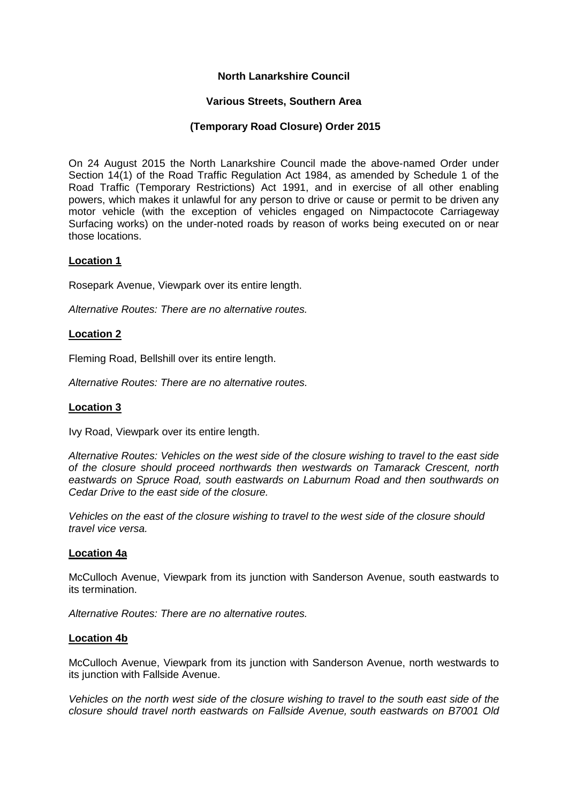# **North Lanarkshire Council**

# **Various Streets, Southern Area**

# **(Temporary Road Closure) Order 2015**

On 24 August 2015 the North Lanarkshire Council made the above-named Order under Section 14(1) of the Road Traffic Regulation Act 1984, as amended by Schedule 1 of the Road Traffic (Temporary Restrictions) Act 1991, and in exercise of all other enabling powers, which makes it unlawful for any person to drive or cause or permit to be driven any motor vehicle (with the exception of vehicles engaged on Nimpactocote Carriageway Surfacing works) on the under-noted roads by reason of works being executed on or near those locations.

# **Location 1**

Rosepark Avenue, Viewpark over its entire length.

*Alternative Routes: There are no alternative routes.*

# **Location 2**

Fleming Road, Bellshill over its entire length.

*Alternative Routes: There are no alternative routes.*

### **Location 3**

Ivy Road, Viewpark over its entire length.

*Alternative Routes: Vehicles on the west side of the closure wishing to travel to the east side of the closure should proceed northwards then westwards on Tamarack Crescent, north eastwards on Spruce Road, south eastwards on Laburnum Road and then southwards on Cedar Drive to the east side of the closure.*

*Vehicles on the east of the closure wishing to travel to the west side of the closure should travel vice versa.*

### **Location 4a**

McCulloch Avenue, Viewpark from its junction with Sanderson Avenue, south eastwards to its termination.

*Alternative Routes: There are no alternative routes.*

### **Location 4b**

McCulloch Avenue, Viewpark from its junction with Sanderson Avenue, north westwards to its junction with Fallside Avenue.

*Vehicles on the north west side of the closure wishing to travel to the south east side of the closure should travel north eastwards on Fallside Avenue, south eastwards on B7001 Old*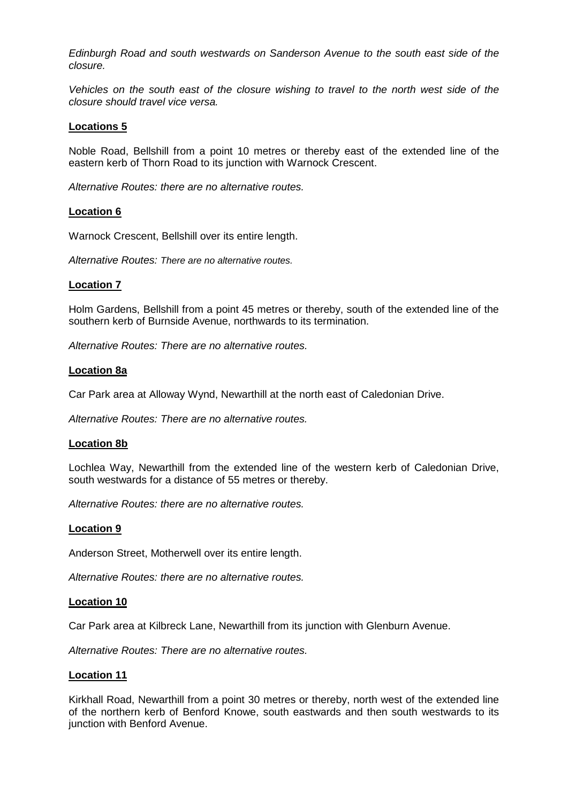*Edinburgh Road and south westwards on Sanderson Avenue to the south east side of the closure.*

*Vehicles on the south east of the closure wishing to travel to the north west side of the closure should travel vice versa.*

# **Locations 5**

Noble Road, Bellshill from a point 10 metres or thereby east of the extended line of the eastern kerb of Thorn Road to its junction with Warnock Crescent.

*Alternative Routes: there are no alternative routes.*

### **Location 6**

Warnock Crescent, Bellshill over its entire length.

*Alternative Routes: There are no alternative routes.*

### **Location 7**

Holm Gardens, Bellshill from a point 45 metres or thereby, south of the extended line of the southern kerb of Burnside Avenue, northwards to its termination.

*Alternative Routes: There are no alternative routes.*

### **Location 8a**

Car Park area at Alloway Wynd, Newarthill at the north east of Caledonian Drive.

*Alternative Routes: There are no alternative routes.*

### **Location 8b**

Lochlea Way, Newarthill from the extended line of the western kerb of Caledonian Drive, south westwards for a distance of 55 metres or thereby.

*Alternative Routes: there are no alternative routes.*

### **Location 9**

Anderson Street, Motherwell over its entire length.

*Alternative Routes: there are no alternative routes.*

### **Location 10**

Car Park area at Kilbreck Lane, Newarthill from its junction with Glenburn Avenue.

*Alternative Routes: There are no alternative routes.*

### **Location 11**

Kirkhall Road, Newarthill from a point 30 metres or thereby, north west of the extended line of the northern kerb of Benford Knowe, south eastwards and then south westwards to its junction with Benford Avenue.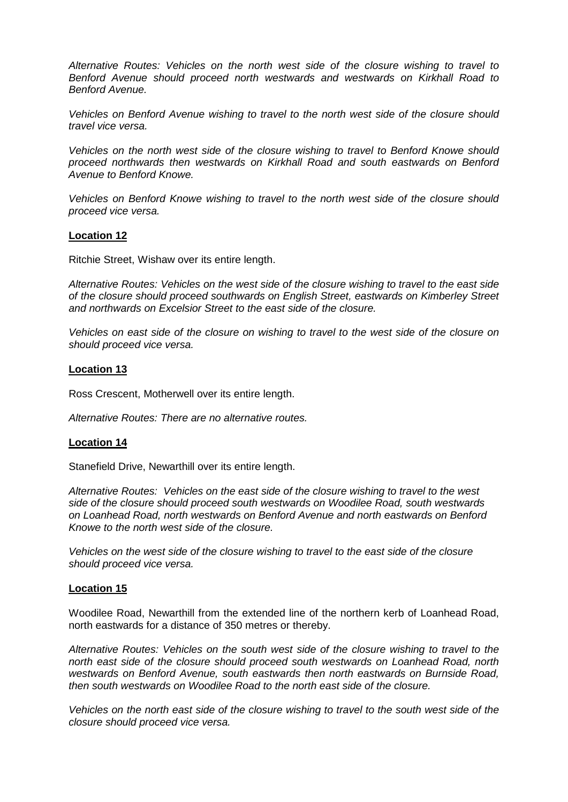*Alternative Routes: Vehicles on the north west side of the closure wishing to travel to Benford Avenue should proceed north westwards and westwards on Kirkhall Road to Benford Avenue.*

*Vehicles on Benford Avenue wishing to travel to the north west side of the closure should travel vice versa.*

*Vehicles on the north west side of the closure wishing to travel to Benford Knowe should proceed northwards then westwards on Kirkhall Road and south eastwards on Benford Avenue to Benford Knowe.*

*Vehicles on Benford Knowe wishing to travel to the north west side of the closure should proceed vice versa.*

### **Location 12**

Ritchie Street, Wishaw over its entire length.

*Alternative Routes: Vehicles on the west side of the closure wishing to travel to the east side of the closure should proceed southwards on English Street, eastwards on Kimberley Street and northwards on Excelsior Street to the east side of the closure.*

*Vehicles on east side of the closure on wishing to travel to the west side of the closure on should proceed vice versa.*

### **Location 13**

Ross Crescent, Motherwell over its entire length.

*Alternative Routes: There are no alternative routes.*

### **Location 14**

Stanefield Drive, Newarthill over its entire length.

*Alternative Routes: Vehicles on the east side of the closure wishing to travel to the west side of the closure should proceed south westwards on Woodilee Road, south westwards on Loanhead Road, north westwards on Benford Avenue and north eastwards on Benford Knowe to the north west side of the closure.*

*Vehicles on the west side of the closure wishing to travel to the east side of the closure should proceed vice versa.*

### **Location 15**

Woodilee Road, Newarthill from the extended line of the northern kerb of Loanhead Road, north eastwards for a distance of 350 metres or thereby.

*Alternative Routes: Vehicles on the south west side of the closure wishing to travel to the north east side of the closure should proceed south westwards on Loanhead Road, north westwards on Benford Avenue, south eastwards then north eastwards on Burnside Road, then south westwards on Woodilee Road to the north east side of the closure.*

*Vehicles on the north east side of the closure wishing to travel to the south west side of the closure should proceed vice versa.*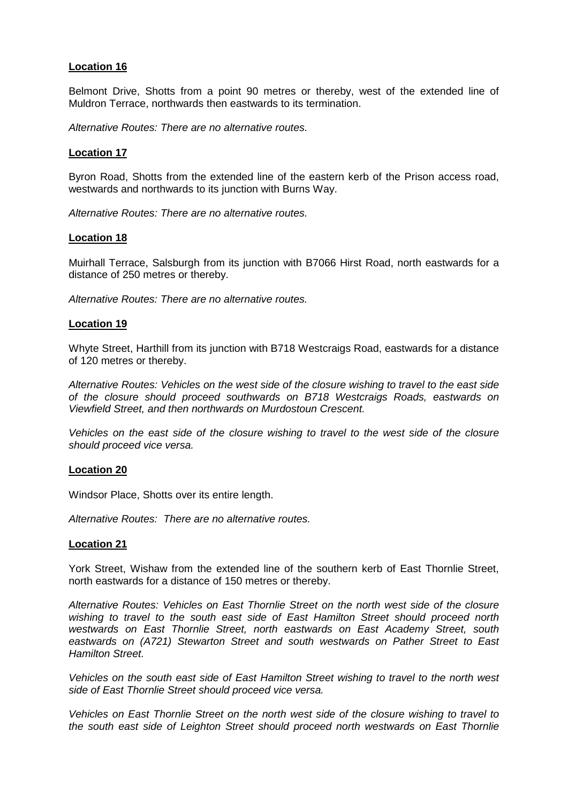# **Location 16**

Belmont Drive, Shotts from a point 90 metres or thereby, west of the extended line of Muldron Terrace, northwards then eastwards to its termination.

*Alternative Routes: There are no alternative routes.*

### **Location 17**

Byron Road, Shotts from the extended line of the eastern kerb of the Prison access road, westwards and northwards to its junction with Burns Way.

*Alternative Routes: There are no alternative routes.*

### **Location 18**

Muirhall Terrace, Salsburgh from its junction with B7066 Hirst Road, north eastwards for a distance of 250 metres or thereby.

*Alternative Routes: There are no alternative routes.*

### **Location 19**

Whyte Street, Harthill from its junction with B718 Westcraigs Road, eastwards for a distance of 120 metres or thereby.

*Alternative Routes: Vehicles on the west side of the closure wishing to travel to the east side of the closure should proceed southwards on B718 Westcraigs Roads, eastwards on Viewfield Street, and then northwards on Murdostoun Crescent.*

*Vehicles on the east side of the closure wishing to travel to the west side of the closure should proceed vice versa.*

#### **Location 20**

Windsor Place, Shotts over its entire length.

*Alternative Routes: There are no alternative routes.*

## **Location 21**

York Street, Wishaw from the extended line of the southern kerb of East Thornlie Street, north eastwards for a distance of 150 metres or thereby.

*Alternative Routes: Vehicles on East Thornlie Street on the north west side of the closure wishing to travel to the south east side of East Hamilton Street should proceed north westwards on East Thornlie Street, north eastwards on East Academy Street, south eastwards on (A721) Stewarton Street and south westwards on Pather Street to East Hamilton Street.*

*Vehicles on the south east side of East Hamilton Street wishing to travel to the north west side of East Thornlie Street should proceed vice versa.*

*Vehicles on East Thornlie Street on the north west side of the closure wishing to travel to the south east side of Leighton Street should proceed north westwards on East Thornlie*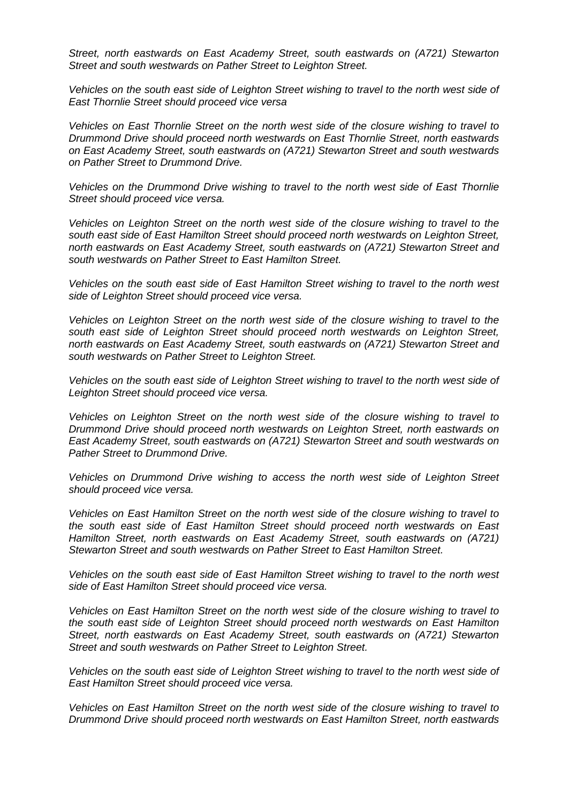*Street, north eastwards on East Academy Street, south eastwards on (A721) Stewarton Street and south westwards on Pather Street to Leighton Street.*

*Vehicles on the south east side of Leighton Street wishing to travel to the north west side of East Thornlie Street should proceed vice versa*

*Vehicles on East Thornlie Street on the north west side of the closure wishing to travel to Drummond Drive should proceed north westwards on East Thornlie Street, north eastwards on East Academy Street, south eastwards on (A721) Stewarton Street and south westwards on Pather Street to Drummond Drive.*

*Vehicles on the Drummond Drive wishing to travel to the north west side of East Thornlie Street should proceed vice versa.*

*Vehicles on Leighton Street on the north west side of the closure wishing to travel to the south east side of East Hamilton Street should proceed north westwards on Leighton Street, north eastwards on East Academy Street, south eastwards on (A721) Stewarton Street and south westwards on Pather Street to East Hamilton Street.*

*Vehicles on the south east side of East Hamilton Street wishing to travel to the north west side of Leighton Street should proceed vice versa.*

*Vehicles on Leighton Street on the north west side of the closure wishing to travel to the south east side of Leighton Street should proceed north westwards on Leighton Street, north eastwards on East Academy Street, south eastwards on (A721) Stewarton Street and south westwards on Pather Street to Leighton Street.*

*Vehicles on the south east side of Leighton Street wishing to travel to the north west side of Leighton Street should proceed vice versa.*

*Vehicles on Leighton Street on the north west side of the closure wishing to travel to Drummond Drive should proceed north westwards on Leighton Street, north eastwards on East Academy Street, south eastwards on (A721) Stewarton Street and south westwards on Pather Street to Drummond Drive.*

*Vehicles on Drummond Drive wishing to access the north west side of Leighton Street should proceed vice versa.*

*Vehicles on East Hamilton Street on the north west side of the closure wishing to travel to the south east side of East Hamilton Street should proceed north westwards on East Hamilton Street, north eastwards on East Academy Street, south eastwards on (A721) Stewarton Street and south westwards on Pather Street to East Hamilton Street.*

*Vehicles on the south east side of East Hamilton Street wishing to travel to the north west side of East Hamilton Street should proceed vice versa.*

*Vehicles on East Hamilton Street on the north west side of the closure wishing to travel to the south east side of Leighton Street should proceed north westwards on East Hamilton Street, north eastwards on East Academy Street, south eastwards on (A721) Stewarton Street and south westwards on Pather Street to Leighton Street.*

*Vehicles on the south east side of Leighton Street wishing to travel to the north west side of East Hamilton Street should proceed vice versa.*

*Vehicles on East Hamilton Street on the north west side of the closure wishing to travel to Drummond Drive should proceed north westwards on East Hamilton Street, north eastwards*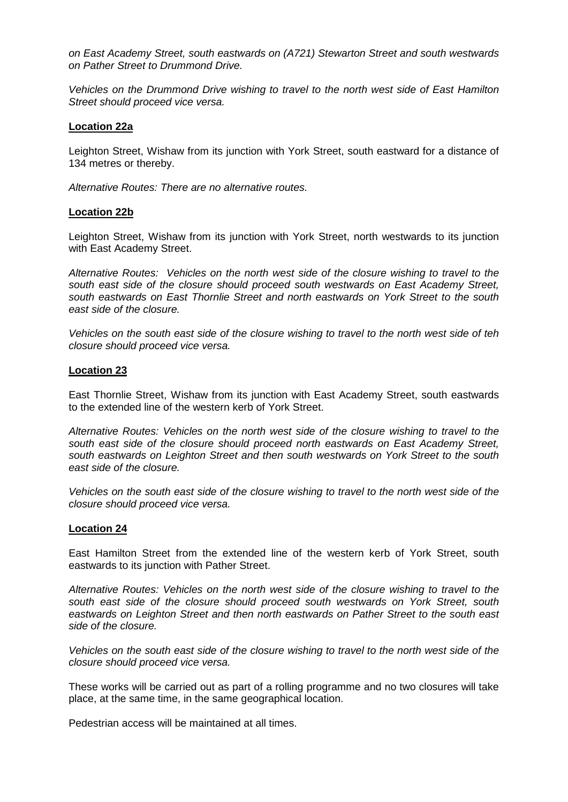*on East Academy Street, south eastwards on (A721) Stewarton Street and south westwards on Pather Street to Drummond Drive.*

*Vehicles on the Drummond Drive wishing to travel to the north west side of East Hamilton Street should proceed vice versa.*

### **Location 22a**

Leighton Street, Wishaw from its junction with York Street, south eastward for a distance of 134 metres or thereby.

*Alternative Routes: There are no alternative routes.*

### **Location 22b**

Leighton Street, Wishaw from its junction with York Street, north westwards to its junction with East Academy Street.

*Alternative Routes: Vehicles on the north west side of the closure wishing to travel to the south east side of the closure should proceed south westwards on East Academy Street, south eastwards on East Thornlie Street and north eastwards on York Street to the south east side of the closure.*

*Vehicles on the south east side of the closure wishing to travel to the north west side of teh closure should proceed vice versa.*

### **Location 23**

East Thornlie Street, Wishaw from its junction with East Academy Street, south eastwards to the extended line of the western kerb of York Street.

*Alternative Routes: Vehicles on the north west side of the closure wishing to travel to the south east side of the closure should proceed north eastwards on East Academy Street, south eastwards on Leighton Street and then south westwards on York Street to the south east side of the closure.*

*Vehicles on the south east side of the closure wishing to travel to the north west side of the closure should proceed vice versa.*

#### **Location 24**

East Hamilton Street from the extended line of the western kerb of York Street, south eastwards to its junction with Pather Street.

*Alternative Routes: Vehicles on the north west side of the closure wishing to travel to the south east side of the closure should proceed south westwards on York Street, south eastwards on Leighton Street and then north eastwards on Pather Street to the south east side of the closure.*

*Vehicles on the south east side of the closure wishing to travel to the north west side of the closure should proceed vice versa.*

These works will be carried out as part of a rolling programme and no two closures will take place, at the same time, in the same geographical location.

Pedestrian access will be maintained at all times.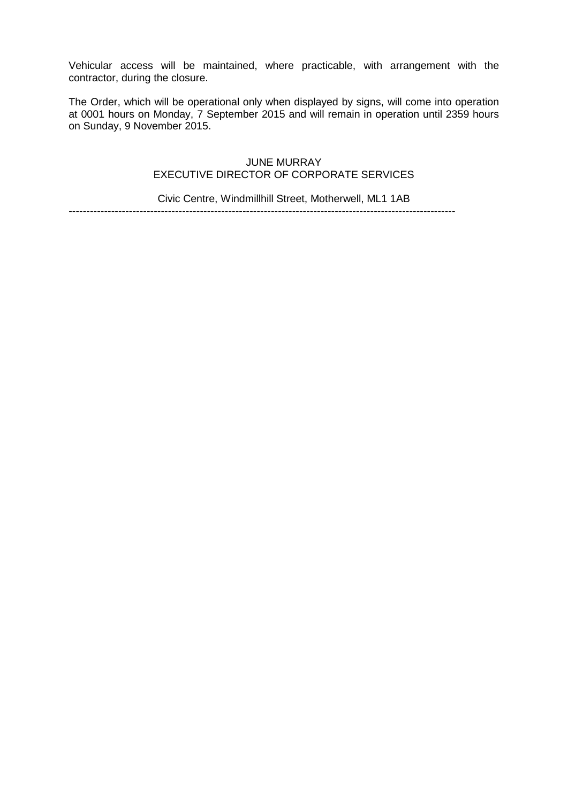Vehicular access will be maintained, where practicable, with arrangement with the contractor, during the closure.

The Order, which will be operational only when displayed by signs, will come into operation at 0001 hours on Monday, 7 September 2015 and will remain in operation until 2359 hours on Sunday, 9 November 2015.

# JUNE MURRAY EXECUTIVE DIRECTOR OF CORPORATE SERVICES

Civic Centre, Windmillhill Street, Motherwell, ML1 1AB

-------------------------------------------------------------------------------------------------------------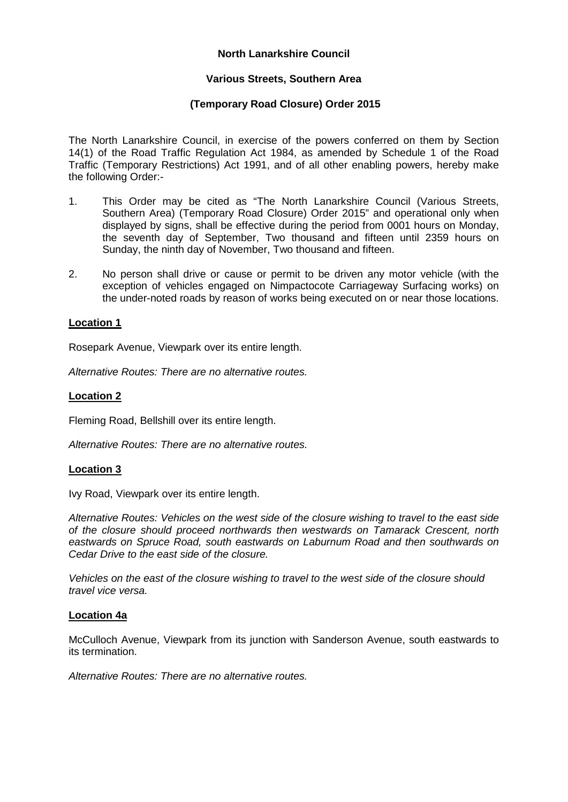# **North Lanarkshire Council**

# **Various Streets, Southern Area**

# **(Temporary Road Closure) Order 2015**

The North Lanarkshire Council, in exercise of the powers conferred on them by Section 14(1) of the Road Traffic Regulation Act 1984, as amended by Schedule 1 of the Road Traffic (Temporary Restrictions) Act 1991, and of all other enabling powers, hereby make the following Order:-

- 1. This Order may be cited as "The North Lanarkshire Council (Various Streets, Southern Area) (Temporary Road Closure) Order 2015" and operational only when displayed by signs, shall be effective during the period from 0001 hours on Monday, the seventh day of September, Two thousand and fifteen until 2359 hours on Sunday, the ninth day of November, Two thousand and fifteen.
- 2. No person shall drive or cause or permit to be driven any motor vehicle (with the exception of vehicles engaged on Nimpactocote Carriageway Surfacing works) on the under-noted roads by reason of works being executed on or near those locations.

# **Location 1**

Rosepark Avenue, Viewpark over its entire length.

*Alternative Routes: There are no alternative routes.*

# **Location 2**

Fleming Road, Bellshill over its entire length.

*Alternative Routes: There are no alternative routes.*

### **Location 3**

Ivy Road, Viewpark over its entire length.

*Alternative Routes: Vehicles on the west side of the closure wishing to travel to the east side of the closure should proceed northwards then westwards on Tamarack Crescent, north eastwards on Spruce Road, south eastwards on Laburnum Road and then southwards on Cedar Drive to the east side of the closure.*

*Vehicles on the east of the closure wishing to travel to the west side of the closure should travel vice versa.*

### **Location 4a**

McCulloch Avenue, Viewpark from its junction with Sanderson Avenue, south eastwards to its termination.

*Alternative Routes: There are no alternative routes.*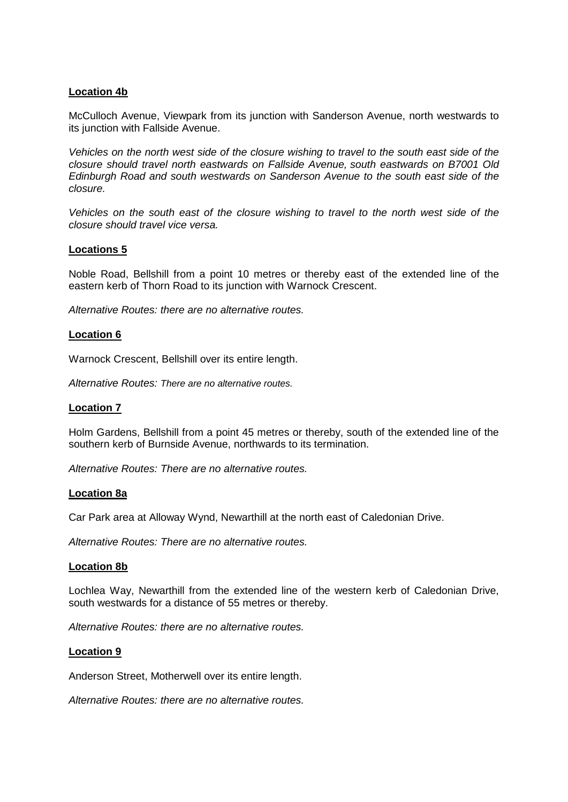# **Location 4b**

McCulloch Avenue, Viewpark from its junction with Sanderson Avenue, north westwards to its junction with Fallside Avenue.

*Vehicles on the north west side of the closure wishing to travel to the south east side of the closure should travel north eastwards on Fallside Avenue, south eastwards on B7001 Old Edinburgh Road and south westwards on Sanderson Avenue to the south east side of the closure.*

*Vehicles on the south east of the closure wishing to travel to the north west side of the closure should travel vice versa.*

### **Locations 5**

Noble Road, Bellshill from a point 10 metres or thereby east of the extended line of the eastern kerb of Thorn Road to its junction with Warnock Crescent.

*Alternative Routes: there are no alternative routes.*

### **Location 6**

Warnock Crescent, Bellshill over its entire length.

*Alternative Routes: There are no alternative routes.*

### **Location 7**

Holm Gardens, Bellshill from a point 45 metres or thereby, south of the extended line of the southern kerb of Burnside Avenue, northwards to its termination.

*Alternative Routes: There are no alternative routes.*

#### **Location 8a**

Car Park area at Alloway Wynd, Newarthill at the north east of Caledonian Drive.

*Alternative Routes: There are no alternative routes.*

#### **Location 8b**

Lochlea Way, Newarthill from the extended line of the western kerb of Caledonian Drive, south westwards for a distance of 55 metres or thereby.

*Alternative Routes: there are no alternative routes.*

### **Location 9**

Anderson Street, Motherwell over its entire length.

*Alternative Routes: there are no alternative routes.*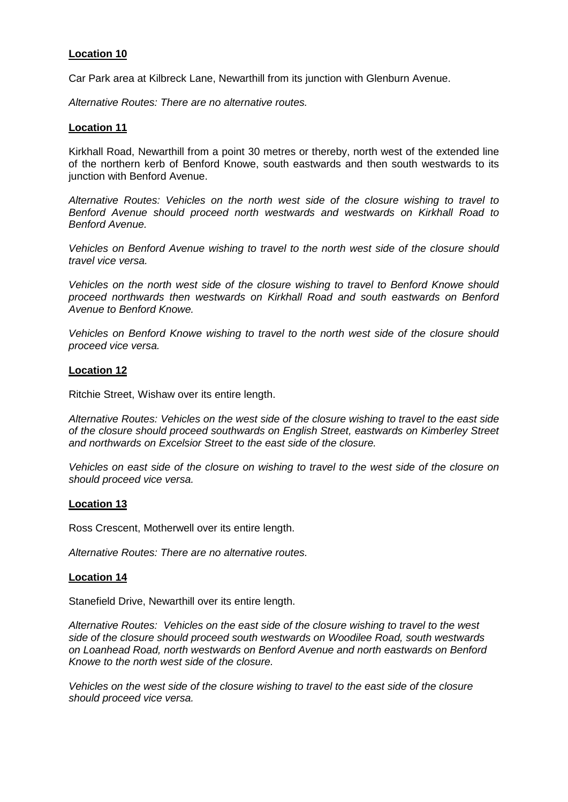# **Location 10**

Car Park area at Kilbreck Lane, Newarthill from its junction with Glenburn Avenue.

*Alternative Routes: There are no alternative routes.*

# **Location 11**

Kirkhall Road, Newarthill from a point 30 metres or thereby, north west of the extended line of the northern kerb of Benford Knowe, south eastwards and then south westwards to its junction with Benford Avenue.

*Alternative Routes: Vehicles on the north west side of the closure wishing to travel to Benford Avenue should proceed north westwards and westwards on Kirkhall Road to Benford Avenue.*

*Vehicles on Benford Avenue wishing to travel to the north west side of the closure should travel vice versa.*

*Vehicles on the north west side of the closure wishing to travel to Benford Knowe should proceed northwards then westwards on Kirkhall Road and south eastwards on Benford Avenue to Benford Knowe.*

*Vehicles on Benford Knowe wishing to travel to the north west side of the closure should proceed vice versa.*

# **Location 12**

Ritchie Street, Wishaw over its entire length.

*Alternative Routes: Vehicles on the west side of the closure wishing to travel to the east side of the closure should proceed southwards on English Street, eastwards on Kimberley Street and northwards on Excelsior Street to the east side of the closure.*

*Vehicles on east side of the closure on wishing to travel to the west side of the closure on should proceed vice versa.*

### **Location 13**

Ross Crescent, Motherwell over its entire length.

*Alternative Routes: There are no alternative routes.*

### **Location 14**

Stanefield Drive, Newarthill over its entire length.

*Alternative Routes: Vehicles on the east side of the closure wishing to travel to the west side of the closure should proceed south westwards on Woodilee Road, south westwards on Loanhead Road, north westwards on Benford Avenue and north eastwards on Benford Knowe to the north west side of the closure.*

*Vehicles on the west side of the closure wishing to travel to the east side of the closure should proceed vice versa.*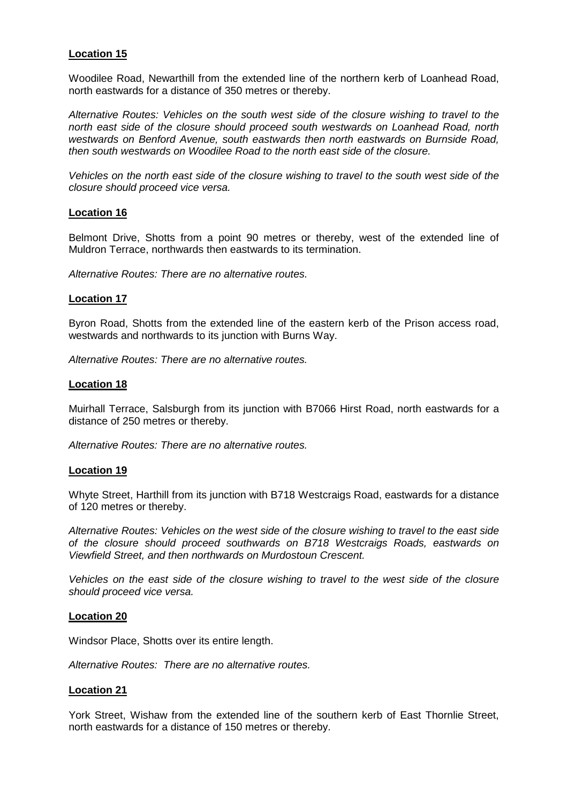# **Location 15**

Woodilee Road, Newarthill from the extended line of the northern kerb of Loanhead Road, north eastwards for a distance of 350 metres or thereby.

*Alternative Routes: Vehicles on the south west side of the closure wishing to travel to the north east side of the closure should proceed south westwards on Loanhead Road, north westwards on Benford Avenue, south eastwards then north eastwards on Burnside Road, then south westwards on Woodilee Road to the north east side of the closure.*

*Vehicles on the north east side of the closure wishing to travel to the south west side of the closure should proceed vice versa.*

### **Location 16**

Belmont Drive, Shotts from a point 90 metres or thereby, west of the extended line of Muldron Terrace, northwards then eastwards to its termination.

*Alternative Routes: There are no alternative routes.*

### **Location 17**

Byron Road, Shotts from the extended line of the eastern kerb of the Prison access road, westwards and northwards to its junction with Burns Way.

*Alternative Routes: There are no alternative routes.*

### **Location 18**

Muirhall Terrace, Salsburgh from its junction with B7066 Hirst Road, north eastwards for a distance of 250 metres or thereby.

*Alternative Routes: There are no alternative routes.*

#### **Location 19**

Whyte Street, Harthill from its junction with B718 Westcraigs Road, eastwards for a distance of 120 metres or thereby.

*Alternative Routes: Vehicles on the west side of the closure wishing to travel to the east side of the closure should proceed southwards on B718 Westcraigs Roads, eastwards on Viewfield Street, and then northwards on Murdostoun Crescent.*

*Vehicles on the east side of the closure wishing to travel to the west side of the closure should proceed vice versa.*

### **Location 20**

Windsor Place, Shotts over its entire length.

*Alternative Routes: There are no alternative routes.*

### **Location 21**

York Street, Wishaw from the extended line of the southern kerb of East Thornlie Street, north eastwards for a distance of 150 metres or thereby.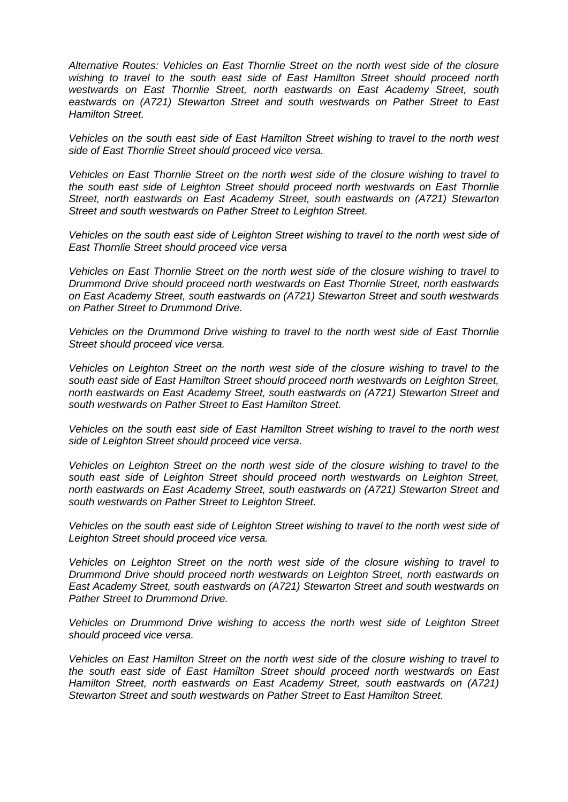*Alternative Routes: Vehicles on East Thornlie Street on the north west side of the closure wishing to travel to the south east side of East Hamilton Street should proceed north westwards on East Thornlie Street, north eastwards on East Academy Street, south eastwards on (A721) Stewarton Street and south westwards on Pather Street to East Hamilton Street.*

*Vehicles on the south east side of East Hamilton Street wishing to travel to the north west side of East Thornlie Street should proceed vice versa.*

*Vehicles on East Thornlie Street on the north west side of the closure wishing to travel to the south east side of Leighton Street should proceed north westwards on East Thornlie Street, north eastwards on East Academy Street, south eastwards on (A721) Stewarton Street and south westwards on Pather Street to Leighton Street.*

*Vehicles on the south east side of Leighton Street wishing to travel to the north west side of East Thornlie Street should proceed vice versa*

*Vehicles on East Thornlie Street on the north west side of the closure wishing to travel to Drummond Drive should proceed north westwards on East Thornlie Street, north eastwards on East Academy Street, south eastwards on (A721) Stewarton Street and south westwards on Pather Street to Drummond Drive.*

*Vehicles on the Drummond Drive wishing to travel to the north west side of East Thornlie Street should proceed vice versa.*

*Vehicles on Leighton Street on the north west side of the closure wishing to travel to the south east side of East Hamilton Street should proceed north westwards on Leighton Street, north eastwards on East Academy Street, south eastwards on (A721) Stewarton Street and south westwards on Pather Street to East Hamilton Street.*

*Vehicles on the south east side of East Hamilton Street wishing to travel to the north west side of Leighton Street should proceed vice versa.*

*Vehicles on Leighton Street on the north west side of the closure wishing to travel to the south east side of Leighton Street should proceed north westwards on Leighton Street, north eastwards on East Academy Street, south eastwards on (A721) Stewarton Street and south westwards on Pather Street to Leighton Street.*

*Vehicles on the south east side of Leighton Street wishing to travel to the north west side of Leighton Street should proceed vice versa.*

*Vehicles on Leighton Street on the north west side of the closure wishing to travel to Drummond Drive should proceed north westwards on Leighton Street, north eastwards on East Academy Street, south eastwards on (A721) Stewarton Street and south westwards on Pather Street to Drummond Drive.*

*Vehicles on Drummond Drive wishing to access the north west side of Leighton Street should proceed vice versa.*

*Vehicles on East Hamilton Street on the north west side of the closure wishing to travel to the south east side of East Hamilton Street should proceed north westwards on East Hamilton Street, north eastwards on East Academy Street, south eastwards on (A721) Stewarton Street and south westwards on Pather Street to East Hamilton Street.*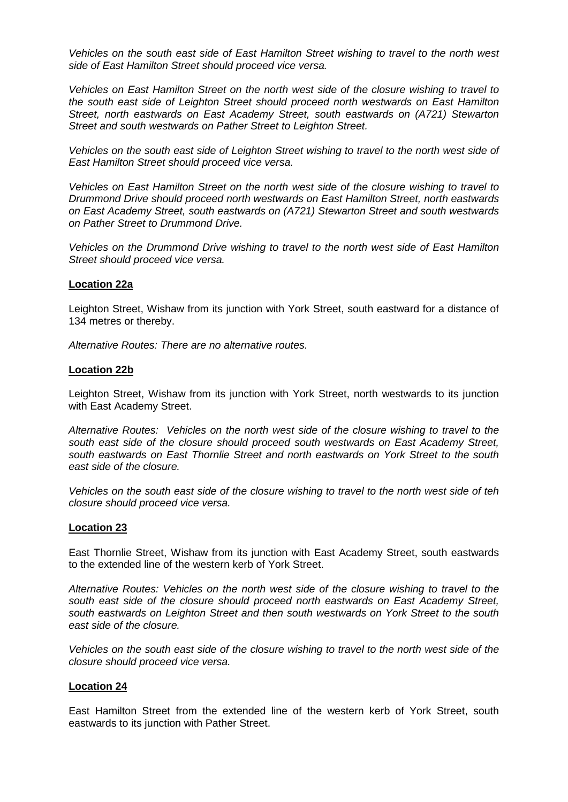*Vehicles on the south east side of East Hamilton Street wishing to travel to the north west side of East Hamilton Street should proceed vice versa.*

*Vehicles on East Hamilton Street on the north west side of the closure wishing to travel to the south east side of Leighton Street should proceed north westwards on East Hamilton Street, north eastwards on East Academy Street, south eastwards on (A721) Stewarton Street and south westwards on Pather Street to Leighton Street.*

*Vehicles on the south east side of Leighton Street wishing to travel to the north west side of East Hamilton Street should proceed vice versa.*

*Vehicles on East Hamilton Street on the north west side of the closure wishing to travel to Drummond Drive should proceed north westwards on East Hamilton Street, north eastwards on East Academy Street, south eastwards on (A721) Stewarton Street and south westwards on Pather Street to Drummond Drive.*

*Vehicles on the Drummond Drive wishing to travel to the north west side of East Hamilton Street should proceed vice versa.*

### **Location 22a**

Leighton Street, Wishaw from its junction with York Street, south eastward for a distance of 134 metres or thereby.

*Alternative Routes: There are no alternative routes.*

### **Location 22b**

Leighton Street, Wishaw from its junction with York Street, north westwards to its junction with East Academy Street.

*Alternative Routes: Vehicles on the north west side of the closure wishing to travel to the south east side of the closure should proceed south westwards on East Academy Street, south eastwards on East Thornlie Street and north eastwards on York Street to the south east side of the closure.*

*Vehicles on the south east side of the closure wishing to travel to the north west side of teh closure should proceed vice versa.*

### **Location 23**

East Thornlie Street, Wishaw from its junction with East Academy Street, south eastwards to the extended line of the western kerb of York Street.

*Alternative Routes: Vehicles on the north west side of the closure wishing to travel to the south east side of the closure should proceed north eastwards on East Academy Street, south eastwards on Leighton Street and then south westwards on York Street to the south east side of the closure.*

*Vehicles on the south east side of the closure wishing to travel to the north west side of the closure should proceed vice versa.*

### **Location 24**

East Hamilton Street from the extended line of the western kerb of York Street, south eastwards to its junction with Pather Street.